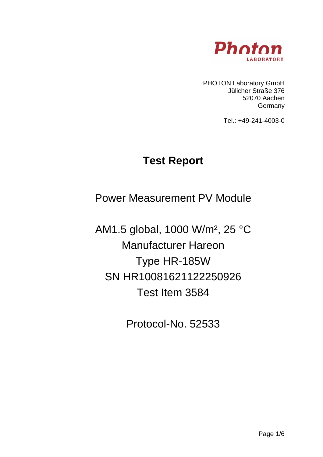

PHOTON Laboratory GmbH Jülicher Straße 376 52070 Aachen **Germany** 

Tel.: +49-241-4003-0

# **Test Report**

Power Measurement PV Module

AM1.5 global, 1000 W/m², 25 °C Manufacturer Hareon Type HR-185W SN HR10081621122250926 Test Item 3584

Protocol-No. 52533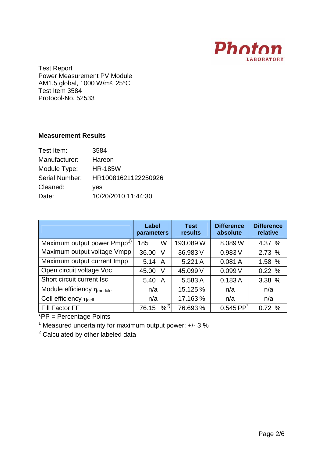

## **Measurement Results**

| 3584                |
|---------------------|
| Hareon              |
| <b>HR-185W</b>      |
| HR10081621122250926 |
| yes                 |
| 10/20/2010 11:44:30 |
|                     |

|                                         | Label<br>parameters | <b>Test</b><br>results | <b>Difference</b><br>absolute | <b>Difference</b><br>relative |
|-----------------------------------------|---------------------|------------------------|-------------------------------|-------------------------------|
| Maximum output power Pmpp <sup>1)</sup> | W<br>185            | 193.089W               | 8.089W                        | 4.37 %                        |
| Maximum output voltage Vmpp             | 36.00<br>V          | 36.983 V               | 0.983V                        | 2.73 %                        |
| Maximum output current Impp             | 5.14 A              | 5.221 A                | 0.081A                        | 1.58 %                        |
| Open circuit voltage Voc                | 45.00<br>V          | 45.099 V               | 0.099V                        | 0.22%                         |
| Short circuit current Isc               | 5.40<br>A           | 5.583 A                | 0.183A                        | 3.38 %                        |
| Module efficiency η <sub>module</sub>   | n/a                 | 15.125%                | n/a                           | n/a                           |
| Cell efficiency η <sub>cell</sub>       | n/a                 | 17.163%                | n/a                           | n/a                           |
| Fill Factor FF                          | 9/2<br>76.15        | 76.693%                | $0.545$ PP $\check{ }$        | 0.72%                         |

\*PP = Percentage Points

<sup>1</sup> Measured uncertainty for maximum output power:  $+/- 3 \%$ 

 $2$  Calculated by other labeled data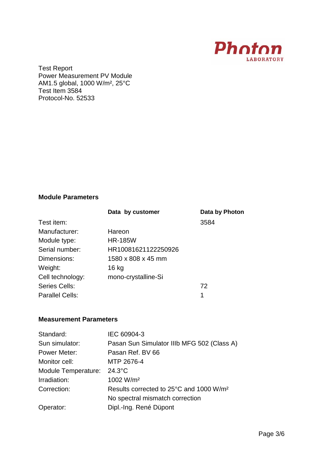

#### **Module Parameters**

|                        | Data by customer    | Data by Photon |
|------------------------|---------------------|----------------|
| Test item:             |                     | 3584           |
| Manufacturer:          | Hareon              |                |
| Module type:           | <b>HR-185W</b>      |                |
| Serial number:         | HR10081621122250926 |                |
| Dimensions:            | 1580 x 808 x 45 mm  |                |
| Weight:                | 16 kg               |                |
| Cell technology:       | mono-crystalline-Si |                |
| Series Cells:          |                     | 72             |
| <b>Parallel Cells:</b> |                     | 1              |

#### **Measurement Parameters**

| Standard:           | IEC 60904-3                                         |
|---------------------|-----------------------------------------------------|
| Sun simulator:      | Pasan Sun Simulator IIIb MFG 502 (Class A)          |
| Power Meter:        | Pasan Ref. BV 66                                    |
| Monitor cell:       | MTP 2676-4                                          |
| Module Temperature: | $24.3^{\circ}$ C                                    |
| Irradiation:        | 1002 W/m <sup>2</sup>                               |
| Correction:         | Results corrected to 25°C and 1000 W/m <sup>2</sup> |
|                     | No spectral mismatch correction                     |
| Operator:           | Dipl.-Ing. René Düpont                              |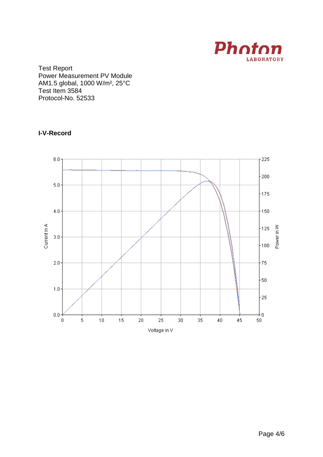

### **I-V-Record**

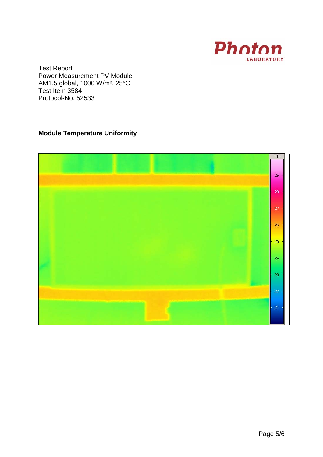

## **Module Temperature Uniformity**